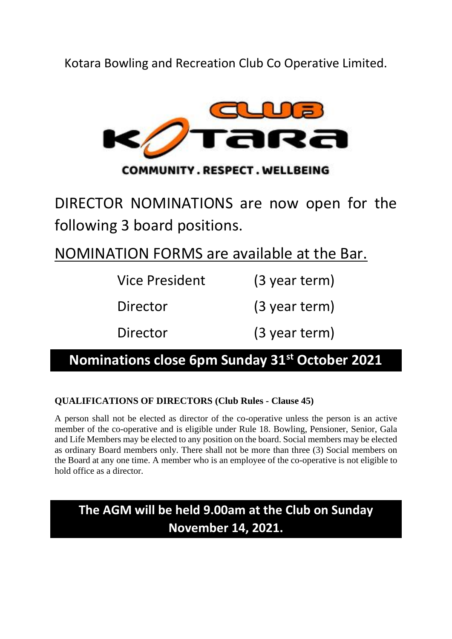Kotara Bowling and Recreation Club Co Operative Limited.



DIRECTOR NOMINATIONS are now open for the following 3 board positions.

NOMINATION FORMS are available at the Bar.

| <b>Vice President</b> | $(3$ year term) |
|-----------------------|-----------------|
| Director              | $(3$ year term) |
| Director              | (3 year term)   |

### **Nominations close 6pm Sunday 31st October 2021**

#### **QUALIFICATIONS OF DIRECTORS (Club Rules - Clause 45)**

A person shall not be elected as director of the co-operative unless the person is an active member of the co-operative and is eligible under Rule 18. Bowling, Pensioner, Senior, Gala and Life Members may be elected to any position on the board. Social members may be elected as ordinary Board members only. There shall not be more than three (3) Social members on the Board at any one time. A member who is an employee of the co-operative is not eligible to hold office as a director.

### **The AGM will be held 9.00am at the Club on Sunday November 14, 2021.**